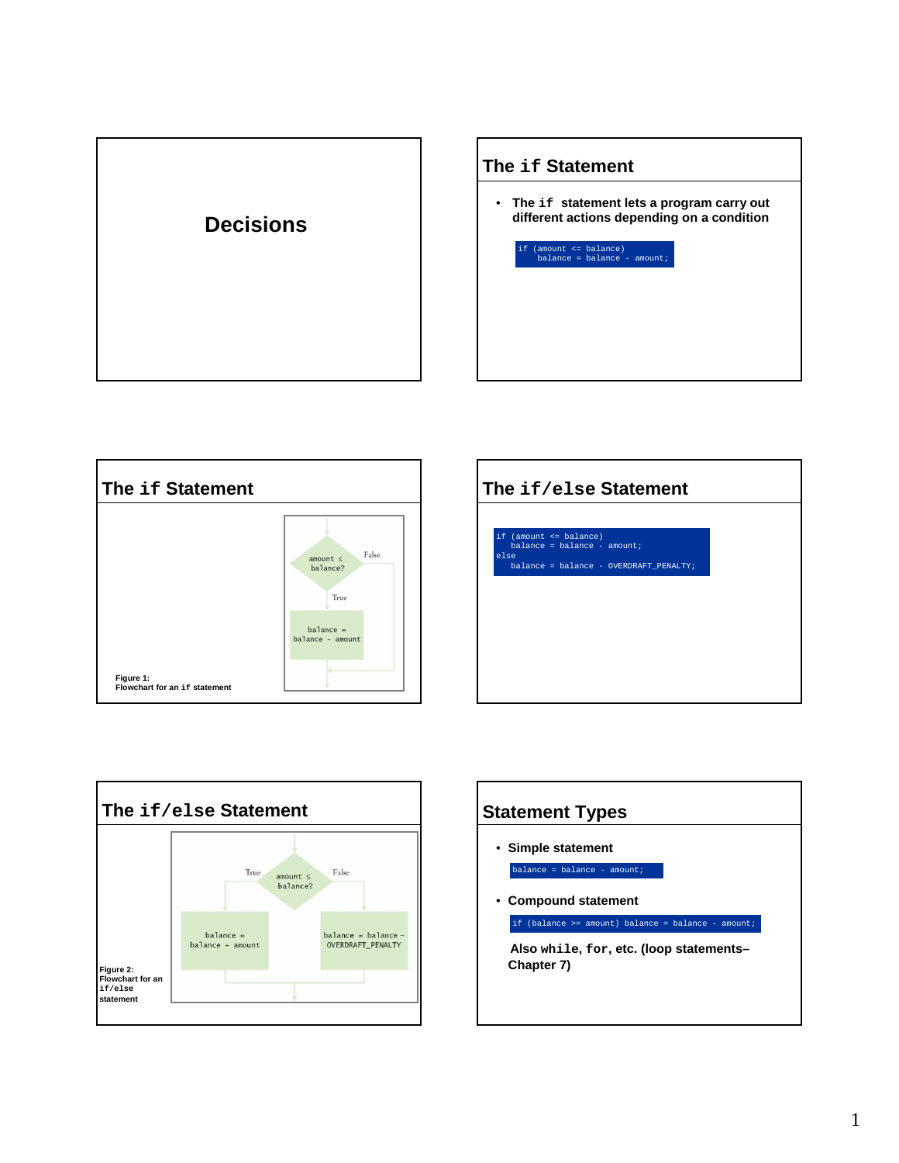









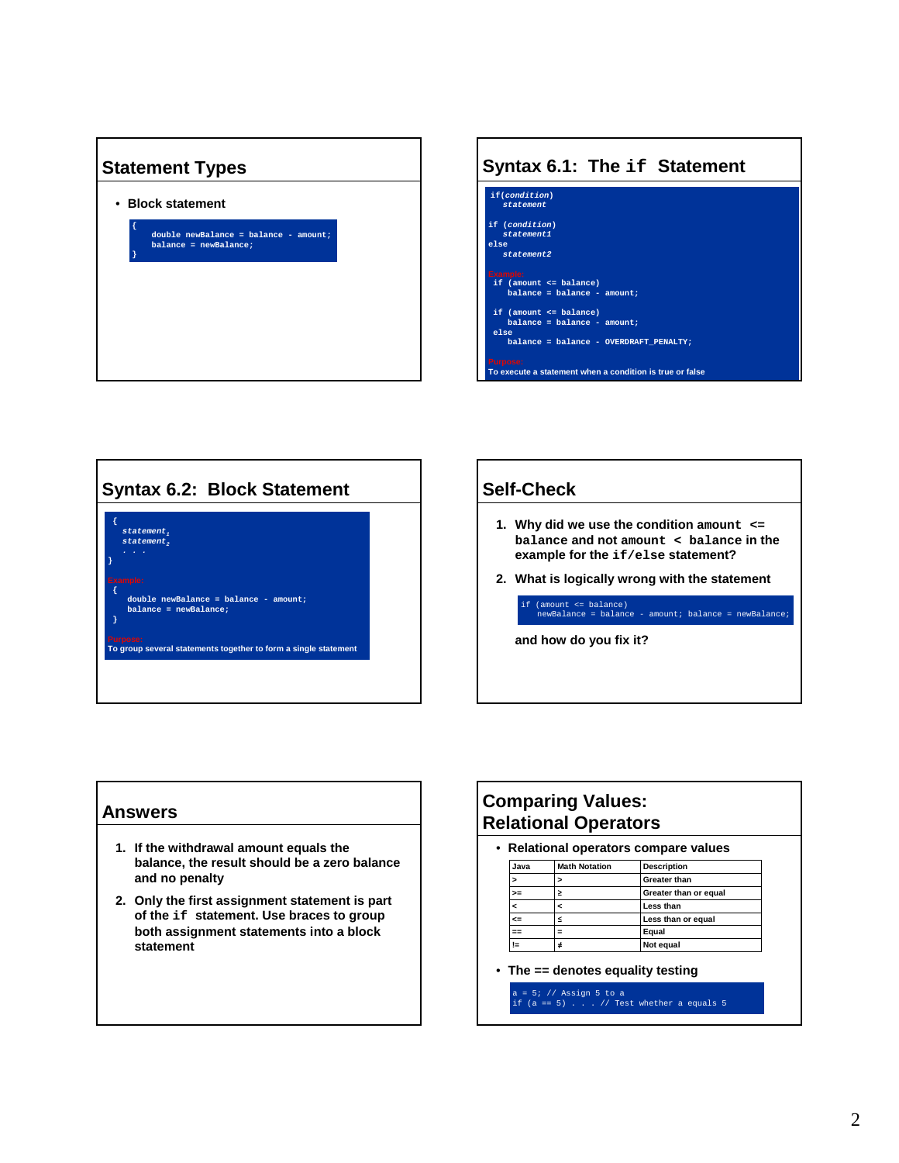





## **Self-Check**

- **1. Why did we use the condition amount <= balance and not amount < balance in the example for the if/else statement?**
- **2. What is logically wrong with the statement**

if (amount <= balance) newBalance = balance - amount; balance = newBalance;

**and how do you fix it?** 

#### **Answers**

- **1. If the withdrawal amount equals the balance, the result should be a zero balance and no penalty**
- **2. Only the first assignment statement is part of the if statement. Use braces to group both assignment statements into a block statement**

## **Comparing Values: Relational Operators**

• **Relational operators compare values**

| Java | <b>Math Notation</b> | <b>Description</b>    |
|------|----------------------|-----------------------|
|      |                      | <b>Greater than</b>   |
| >=   |                      | Greater than or equal |
|      |                      | Less than             |
| œ    |                      | Less than or equal    |
|      |                      | Equal                 |
|      |                      | Not equal             |

• **The == denotes equality testing**

 $= 5;$  // Assign 5 to a if  $(a == 5)$  . . // Test whether a equals 5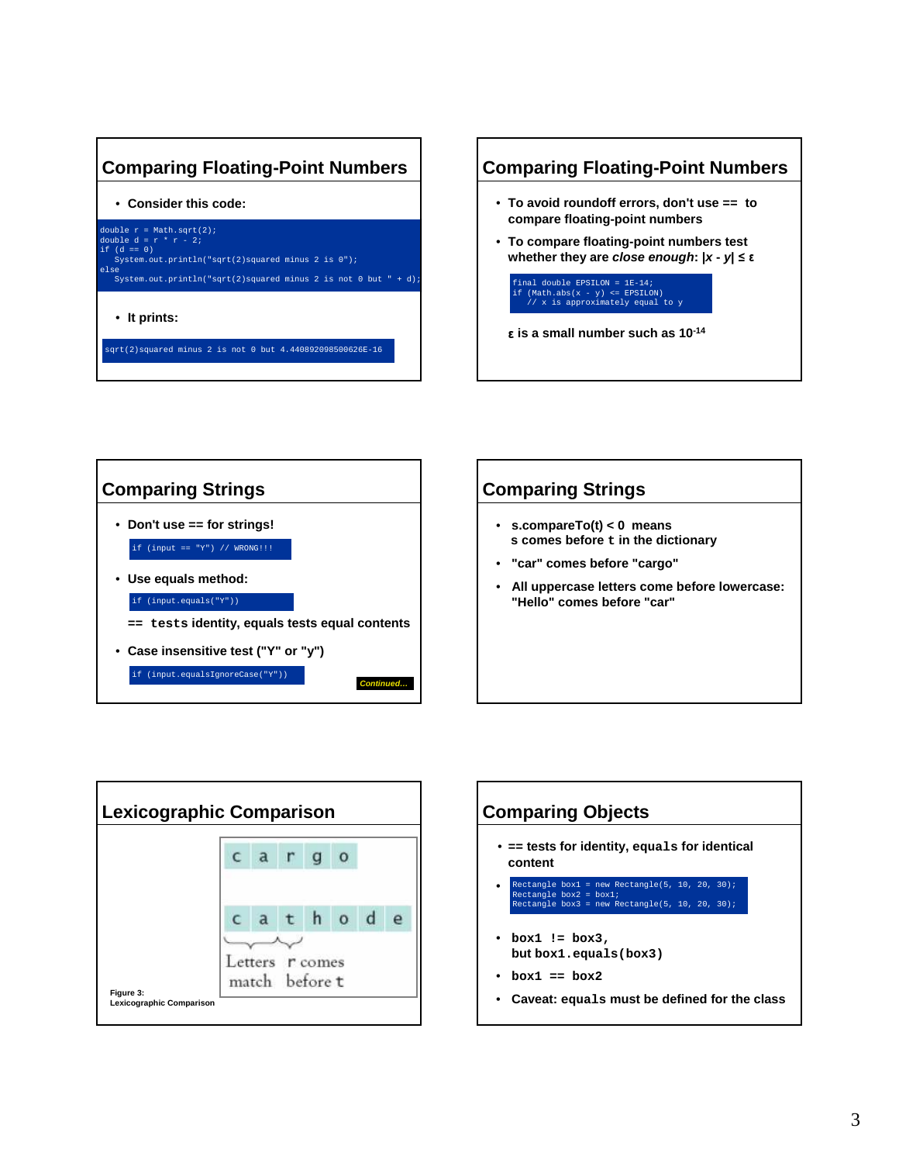## **Comparing Floating-Point Numbers**

• **Consider this code:**



sqrt(2)squared minus 2 is not 0 but 4.440892098500626E-16









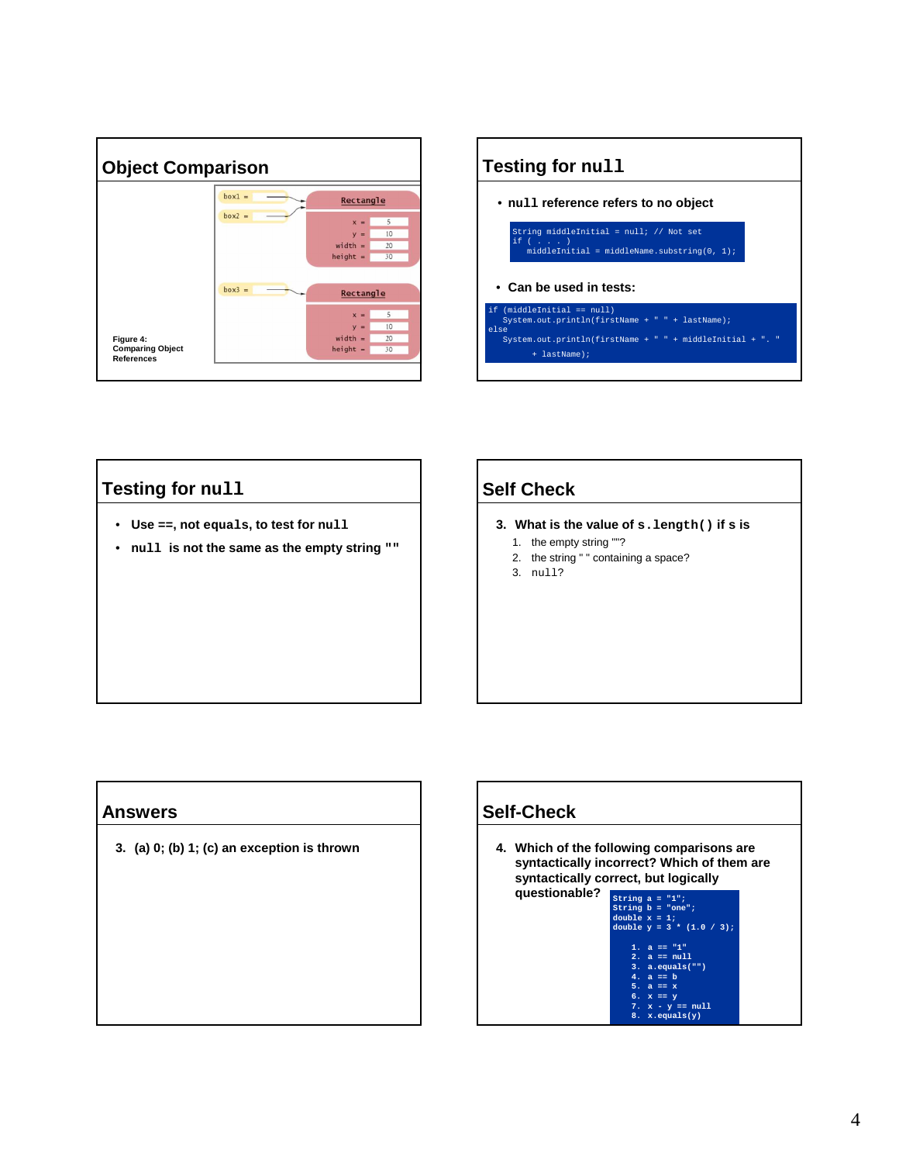



## **Testing for null**

- **Use ==, not equals, to test for null**
- **null is not the same as the empty string ""**

## **Self Check**

- **3. What is the value of s.length() if s is** 
	- 1. the empty string ""?
	- 2. the string " " containing a space?
	- 3. null?

### **Answers**

**3. (a) 0; (b) 1; (c) an exception is thrown** 

## **Self-Check**

**4. Which of the following comparisons are syntactically incorrect? Which of them are syntactically correct, but logically questionable?**

**String a = "1"; String b = "one"; double x = 1; double y = 3 \* (1.0 / 3);**

**1. a == "1" 2. a == null 3. a.equals("")** 

- **4. a == b 5. a == x 6. x == y**
- **7. x y == null 8. x.equals(y)**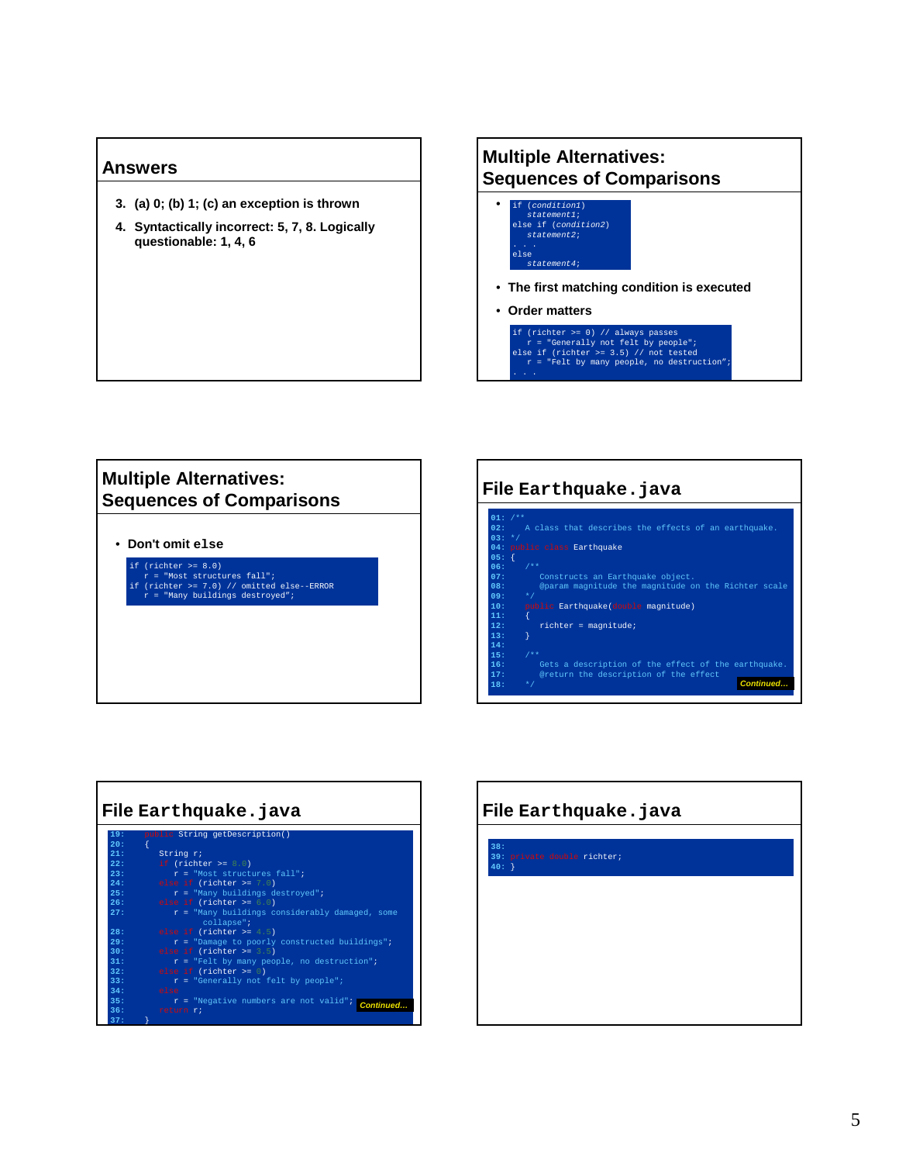#### **Answers**

- **3. (a) 0; (b) 1; (c) an exception is thrown**
- **4. Syntactically incorrect: 5, 7, 8. Logically questionable: 1, 4, 6**

#### **Multiple Alternatives: Sequences of Comparisons** •  $(condition1)$ statement1; else if (condition2) statement2; else

- **The first matching condition is executed**
- **Order matters**

Г

statement4;

if (richter >= 0) // always passes r = "Generally not felt by people"; else if (richter >= 3.5) // not tested r = "Felt by many people, no destruction";

## **Multiple Alternatives: Sequences of Comparisons**

• **Don't omit else**

if (richter >= 8.0) r = "Most structures fall"; if (richter >= 7.0) // omitted else--ERROR r = "Many buildings destroyed";

| File Earthquake.java                                                                                                                                                                                                                                                                                                                                                                                                                                    |  |  |  |  |
|---------------------------------------------------------------------------------------------------------------------------------------------------------------------------------------------------------------------------------------------------------------------------------------------------------------------------------------------------------------------------------------------------------------------------------------------------------|--|--|--|--|
| $01:$ /**<br>A class that describes the effects of an earthquake.<br>02:<br>$03: *7$<br>04: public class Earthquake<br>$05:$ {<br>$06:$ /**<br>07:<br>Constructs an Earthquake object.<br>08:<br>@param magnitude the magnitude on the Richter scale<br>$*$ /<br>09:<br>public Earthquake(double magnitude)<br>10:<br>11:<br>$richter = magnitude;$<br>12:<br>13:<br>14:<br>$7$ **<br>15:<br>16:<br>Gets a description of the effect of the earthquake. |  |  |  |  |
| @return the description of the effect<br>17:<br>Continued<br>18:<br>$*$ /                                                                                                                                                                                                                                                                                                                                                                               |  |  |  |  |

# **File Earthquake.java 19:** String getDescription() **21:** String r;<br> **22:** if (richter >= 8.0) % 22:<br>
22: If (richter >= 8.0)<br>
24: elae if (richter >= 7.0)<br>
25: elae if (richter >= 7.0)<br>
25: elae if (richter >= 6.0)<br>
27: elae if (richter >= 6.0)<br>
27: r = "Many buildings considerably damaged, some<br>
collapse"; 28: elae if (richter >= 4.5)<br>29: r = "Damage to poorly constructed buildings";<br>30: elae if (richter >= 3.5)<br>31: r = "Felt by many people, no destruction";<br>22: elae if (richter >= 0)<br>33: r = "Generally not felt by people"; ---<br>34:<br>35: **35:** r = "Negative numbers are not valid"; **36:** return r; **Continued… 37:** }

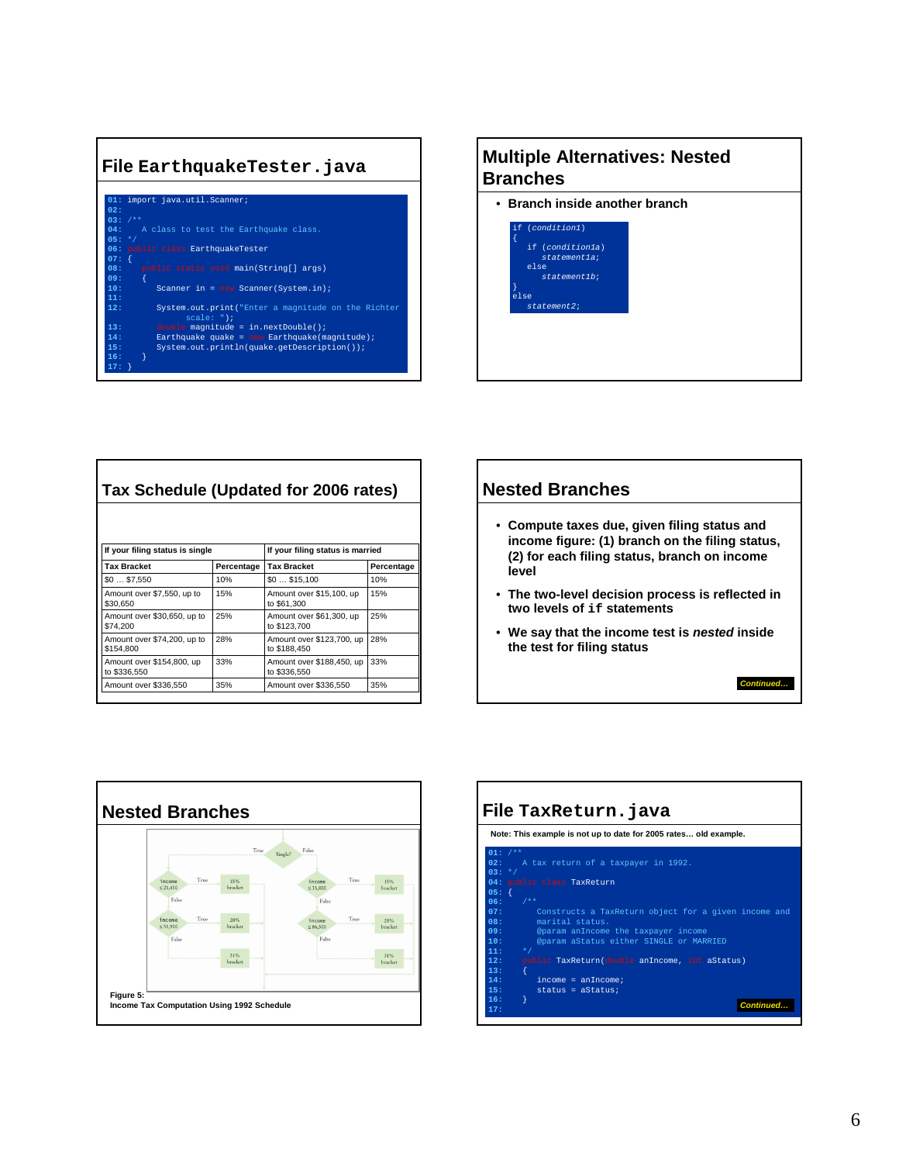

## **Multiple Alternatives: Nested Branches**

• **Branch inside another branch**

|      | if (condition1)  |  |
|------|------------------|--|
|      | if (conditionla) |  |
|      | statementla;     |  |
|      | else             |  |
|      | statement 1b;    |  |
|      |                  |  |
| else |                  |  |
|      | $statement2$ ;   |  |

| Tax Schedule (Updated for 2006 rates)     |            |                                           |            |  |  |
|-------------------------------------------|------------|-------------------------------------------|------------|--|--|
|                                           |            |                                           |            |  |  |
| If your filing status is single           |            | If your filing status is married          |            |  |  |
| <b>Tax Bracket</b>                        | Percentage | <b>Tax Bracket</b>                        | Percentage |  |  |
| \$0\$7,550                                | 10%        | \$0\$15,100                               | 10%        |  |  |
| Amount over \$7,550, up to<br>\$30,650    | 15%        | Amount over \$15,100, up<br>to \$61,300   | 15%        |  |  |
| Amount over \$30,650, up to<br>\$74.200   | 25%        | Amount over \$61,300, up<br>to \$123,700  | 25%        |  |  |
| Amount over \$74,200, up to<br>\$154.800  | 28%        | Amount over \$123,700, up<br>to \$188.450 | 28%        |  |  |
| Amount over \$154,800, up<br>to \$336,550 | 33%        | Amount over \$188,450, up<br>to \$336,550 | 33%        |  |  |
| Amount over \$336,550                     | 35%        | Amount over \$336,550                     | 35%        |  |  |



**Continued…**



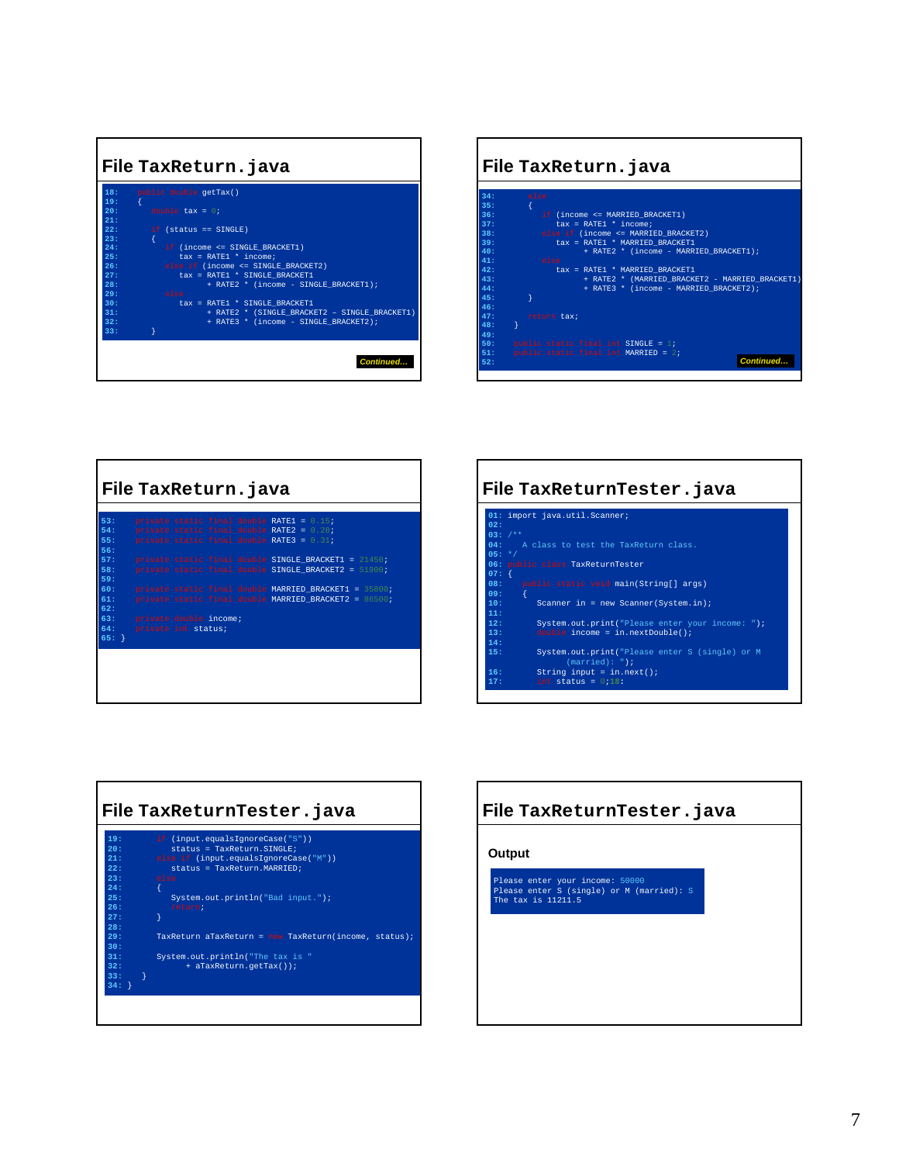

| File TaxReturn. java |                                                 |  |  |  |
|----------------------|-------------------------------------------------|--|--|--|
|                      |                                                 |  |  |  |
| 34:                  | else                                            |  |  |  |
| 35:                  |                                                 |  |  |  |
| 36:                  | if (income $\leq$ MARRIED BRACKET1)             |  |  |  |
| $37 +$               | $\text{tax} = \text{RATE1} * \text{income:}$    |  |  |  |
| 38:                  | else if (income <= MARRIED BRACKET2)            |  |  |  |
| 39:                  | tax = RATE1 * MARRIED BRACKET1                  |  |  |  |
| 40:                  | + RATE2 * (income - MARRIED BRACKET1);          |  |  |  |
| 41.                  | else                                            |  |  |  |
| 42:                  | tax = RATE1 * MARRIED BRACKET1                  |  |  |  |
| 43:                  | + RATE2 * (MARRIED BRACKET2 - MARRIED BRACKET1) |  |  |  |
| 44.1                 | + RATE3 * (income - MARRIED BRACKET2);          |  |  |  |
| 45:                  |                                                 |  |  |  |
| 46:                  |                                                 |  |  |  |
| 47:                  | return tax;                                     |  |  |  |
| 48:                  |                                                 |  |  |  |
| 49+                  |                                                 |  |  |  |
| 50:                  | public static final int SINGLE = $1$ ;          |  |  |  |
| 51:                  | public static final int MARRIED = $2$ ;         |  |  |  |
| 52:                  | Continued                                       |  |  |  |

|                          | File TaxReturn. java                                                                                                                         |  |  |  |  |
|--------------------------|----------------------------------------------------------------------------------------------------------------------------------------------|--|--|--|--|
| 53:<br>54:<br>55:<br>56: | private static final double RATE1 = $0.15$ ;<br>private static final double RATE2 = $0.28$ ;<br>private static final double RATE3 = $0.31$ ; |  |  |  |  |
| 57:<br>58:<br>59:        | private static final double SINGLE BRACKET1 = 21450;<br>private static final double SINGLE BRACKET2 = $51900$ ;                              |  |  |  |  |
| 60:<br>61:<br>62:        | private static final double MARRIED BRACKET1 = 35800;<br>private static final double MARRIED BRACKET2 = 86500;<br>63: private double income; |  |  |  |  |
| 64:<br>$65:$ }           | private int status;                                                                                                                          |  |  |  |  |
|                          |                                                                                                                                              |  |  |  |  |

| File TaxReturnTester.java |                                                                                                          |  |  |
|---------------------------|----------------------------------------------------------------------------------------------------------|--|--|
| 02:                       | 01: import java.util.Scanner;                                                                            |  |  |
| $03:7**$                  |                                                                                                          |  |  |
|                           | 04: A class to test the TaxReturn class.                                                                 |  |  |
| $05: *7$                  |                                                                                                          |  |  |
|                           | 06: public class TaxReturnTester                                                                         |  |  |
| $07:$ {                   |                                                                                                          |  |  |
|                           | 08: public static void main(String[] args)                                                               |  |  |
| 09:                       |                                                                                                          |  |  |
| 10:                       | Scanner in = new Scanner (System.in);                                                                    |  |  |
| 11:<br>12:                |                                                                                                          |  |  |
| 13:                       | System.out.print("Please enter your income: ");<br>double income = $\overline{\text{in.nextDouble}}()$ ; |  |  |
| 14:                       |                                                                                                          |  |  |
| 15:                       | System.out.print("Please enter S (single) or M<br>$(\text{married}) : "$ );                              |  |  |
| 16:                       | String input = $in.next()$ ;                                                                             |  |  |
| 17:                       | int status = $0.18$ :                                                                                    |  |  |



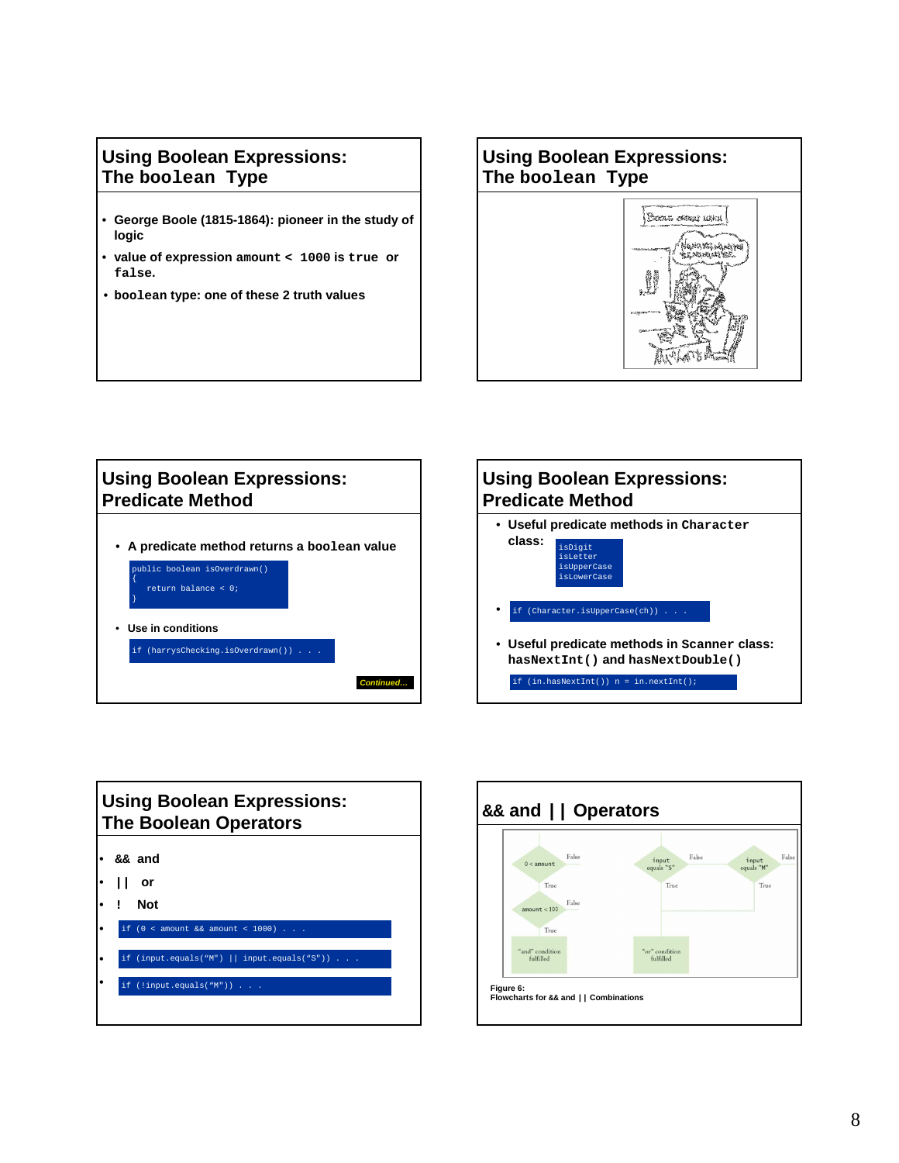## **Using Boolean Expressions: The boolean Type**

- **George Boole (1815-1864): pioneer in the study of logic**
- **value of expression amount < 1000 is true or false.**
- **boolean type: one of these 2 truth values**